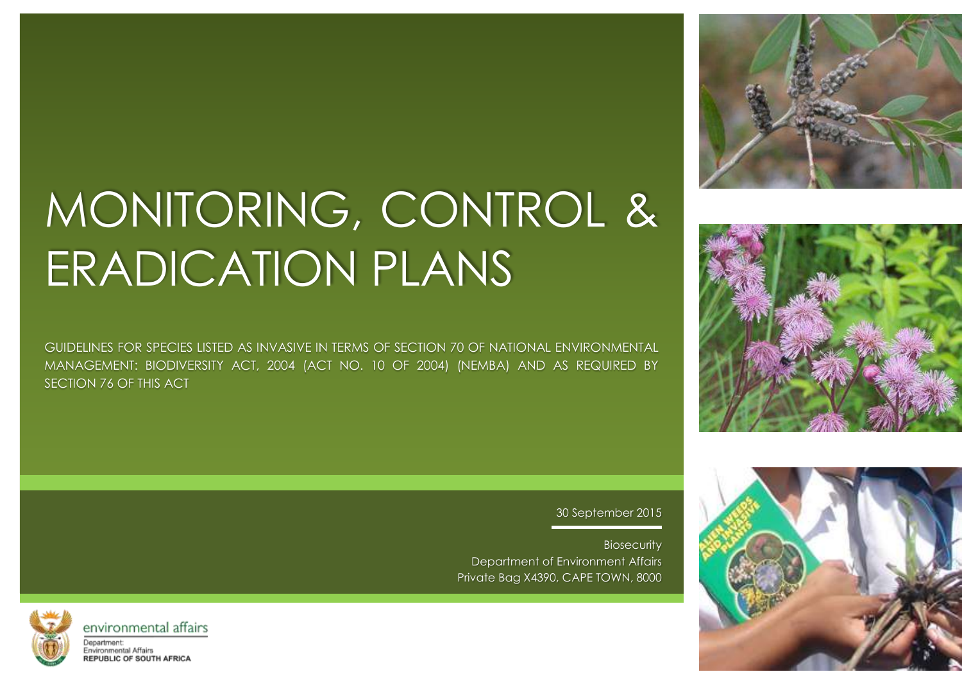# MONITORING, CONTROL & ERADICATION PLANS

GUIDELINES FOR SPECIES LISTED AS INVASIVE IN TERMS OF SECTION 70 OF NATIONAL ENVIRONMENTAL MANAGEMENT: BIODIVERSITY ACT, 2004 (ACT NO. 10 OF 2004) (NEMBA) AND AS REQUIRED BY SECTION 76 OF THIS ACT



30 September 2015

**Biosecurity** Department of Environment Affairs Private Bag X4390, CAPE TOWN, 8000



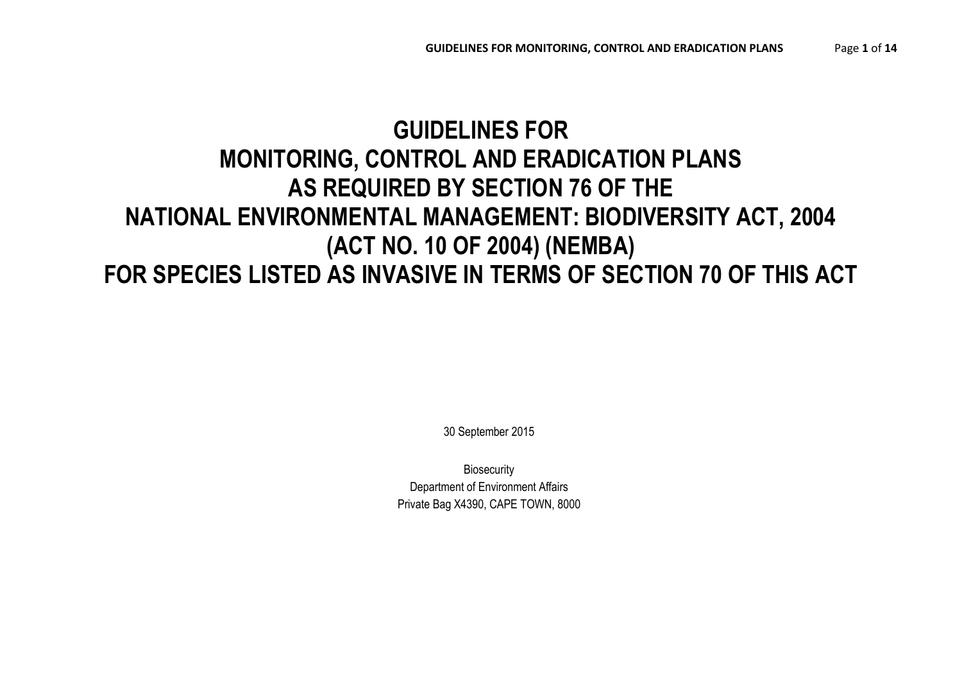## **GUIDELINES FOR MONITORING, CONTROL AND ERADICATION PLANS AS REQUIRED BY SECTION 76 OF THE NATIONAL ENVIRONMENTAL MANAGEMENT: BIODIVERSITY ACT, 2004 (ACT NO. 10 OF 2004) (NEMBA) FOR SPECIES LISTED AS INVASIVE IN TERMS OF SECTION 70 OF THIS ACT**

30 September 2015

**Biosecurity** Department of Environment Affairs Private Bag X4390, CAPE TOWN, 8000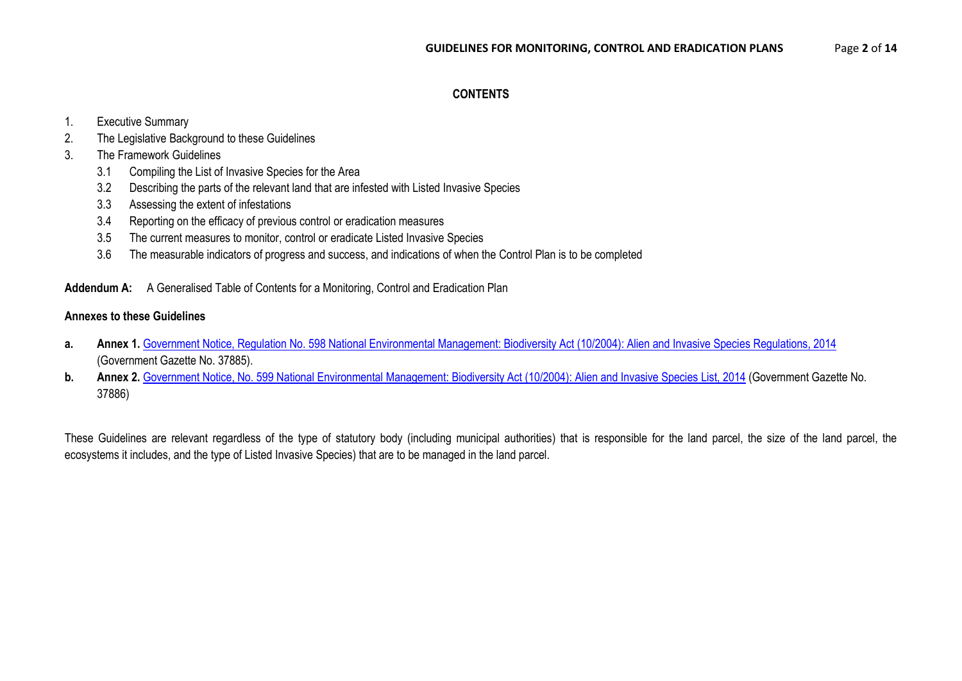#### **CONTENTS**

#### 1. Executive Summary

2. The Legislative Background to these Guidelines

#### 3. The Framework Guidelines

- 3.1 Compiling the List of Invasive Species for the Area
- 3.2 Describing the parts of the relevant land that are infested with Listed Invasive Species
- 3.3 Assessing the extent of infestations
- 3.4 Reporting on the efficacy of previous control or eradication measures
- 3.5 The current measures to monitor, control or eradicate Listed Invasive Species
- 3.6 The measurable indicators of progress and success, and indications of when the Control Plan is to be completed

#### **Addendum A:** A Generalised Table of Contents for a Monitoring, Control and Eradication Plan

#### **Annexes to these Guidelines**

- a. Annex 1. [Government Notice, Regulation No. 598 National Environmental Management: Biodiversity Act \(10/2004\): Alien and Invasive Species Regulations, 2014](https://www.environment.gov.za/shttps:/www.environment.gov.za/sites/default/files/legislations/nemba10of2004_alienandinvasive_speciesregulations.pdf) (Government Gazette No. 37885).
- **b.** Annex 2. [Government Notice, No. 599 National Environmental Management: Biodiversity Act \(10/2004\): Alien and Invasive Species List, 2014](https://www.environment.gov.za/sites/default/files/gazetted_notices/nemba10of2004_alienandinvasive_speciesrelist.pdf) (Government Gazette No. 37886)

These Guidelines are relevant regardless of the type of statutory body (including municipal authorities) that is responsible for the land parcel, the size of the land parcel, the ecosystems it includes, and the type of Listed Invasive Species) that are to be managed in the land parcel.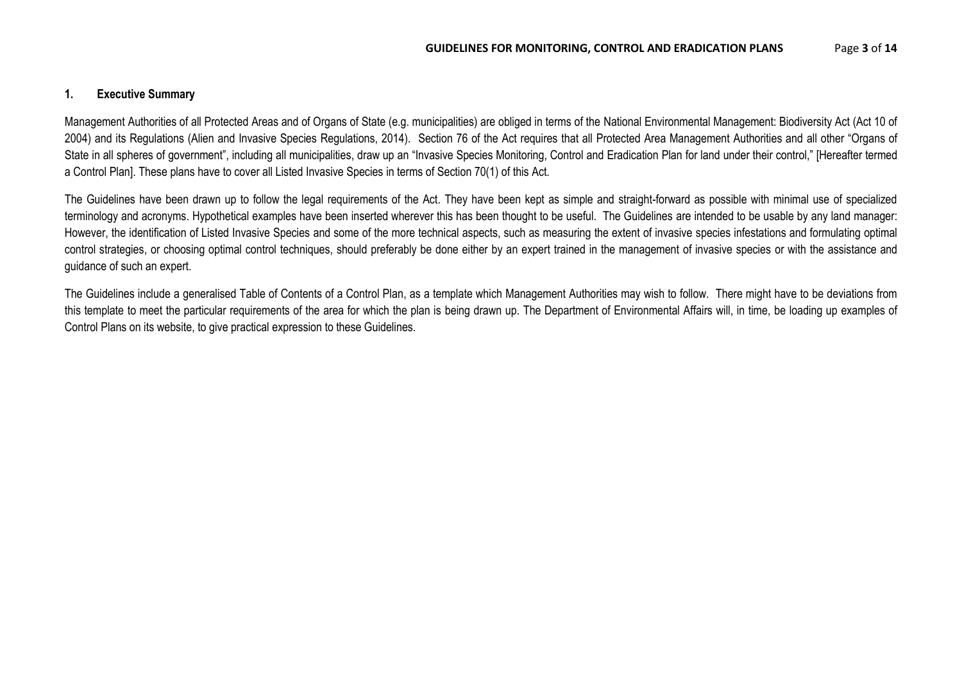#### **1. Executive Summary**

Management Authorities of all Protected Areas and of Organs of State (e.g. municipalities) are obliged in terms of the National Environmental Management: Biodiversity Act (Act 10 of 2004) and its Regulations (Alien and Invasive Species Regulations, 2014). Section 76 of the Act requires that all Protected Area Management Authorities and all other "Organs of State in all spheres of government", including all municipalities, draw up an "Invasive Species Monitoring, Control and Eradication Plan for land under their control," [Hereafter termed a Control Plan]. These plans have to cover all Listed Invasive Species in terms of Section 70(1) of this Act.

The Guidelines have been drawn up to follow the legal requirements of the Act. They have been kept as simple and straight-forward as possible with minimal use of specialized terminology and acronyms. Hypothetical examples have been inserted wherever this has been thought to be useful. The Guidelines are intended to be usable by any land manager: However, the identification of Listed Invasive Species and some of the more technical aspects, such as measuring the extent of invasive species infestations and formulating optimal control strategies, or choosing optimal control techniques, should preferably be done either by an expert trained in the management of invasive species or with the assistance and guidance of such an expert.

The Guidelines include a generalised Table of Contents of a Control Plan, as a template which Management Authorities may wish to follow. There might have to be deviations from this template to meet the particular requirements of the area for which the plan is being drawn up. The Department of Environmental Affairs will, in time, be loading up examples of Control Plans on its website, to give practical expression to these Guidelines.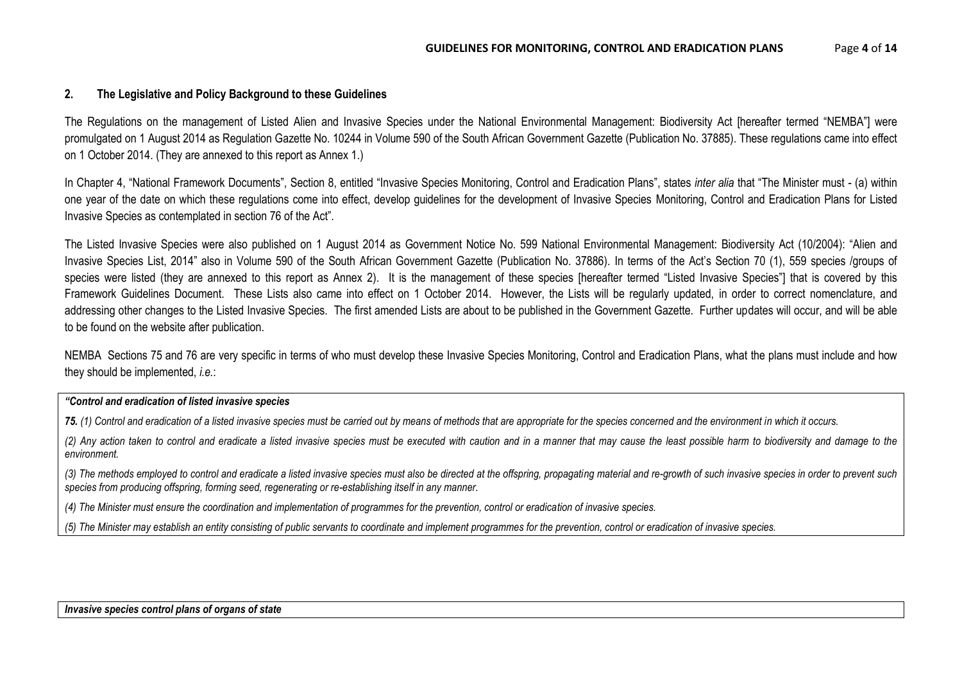#### **2. The Legislative and Policy Background to these Guidelines**

The Regulations on the management of Listed Alien and Invasive Species under the National Environmental Management: Biodiversity Act [hereafter termed "NEMBA"] were promulgated on 1 August 2014 as Regulation Gazette No. 10244 in Volume 590 of the South African Government Gazette (Publication No. 37885). These regulations came into effect on 1 October 2014. (They are annexed to this report as Annex 1.)

In Chapter 4, "National Framework Documents", Section 8, entitled "Invasive Species Monitoring, Control and Eradication Plans", states *inter alia* that "The Minister must - (a) within one year of the date on which these regulations come into effect, develop guidelines for the development of Invasive Species Monitoring, Control and Eradication Plans for Listed Invasive Species as contemplated in section 76 of the Act".

The Listed Invasive Species were also published on 1 August 2014 as Government Notice No. 599 National Environmental Management: Biodiversity Act (10/2004): "Alien and Invasive Species List, 2014" also in Volume 590 of the South African Government Gazette (Publication No. 37886). In terms of the Act's Section 70 (1), 559 species /groups of species were listed (they are annexed to this report as Annex 2). It is the management of these species [hereafter termed "Listed Invasive Species"] that is covered by this Framework Guidelines Document. These Lists also came into effect on 1 October 2014. However, the Lists will be regularly updated, in order to correct nomenclature, and addressing other changes to the Listed Invasive Species. The first amended Lists are about to be published in the Government Gazette. Further updates will occur, and will be able to be found on the website after publication.

NEMBA Sections 75 and 76 are very specific in terms of who must develop these Invasive Species Monitoring, Control and Eradication Plans, what the plans must include and how they should be implemented, *i.e.*:

#### *"Control and eradication of listed invasive species*

*75. (1) Control and eradication of a listed invasive species must be carried out by means of methods that are appropriate for the species concerned and the environment in which it occurs.*

*(2) Any action taken to control and eradicate a listed invasive species must be executed with caution and in a manner that may cause the least possible harm to biodiversity and damage to the environment.*

*(3) The methods employed to control and eradicate a listed invasive species must also be directed at the offspring, propagating material and re-growth of such invasive species in order to prevent such species from producing offspring, forming seed, regenerating or re-establishing itself in any manner.*

*(4) The Minister must ensure the coordination and implementation of programmes for the prevention, control or eradication of invasive species.*

*(5) The Minister may establish an entity consisting of public servants to coordinate and implement programmes for the prevention, control or eradication of invasive species.*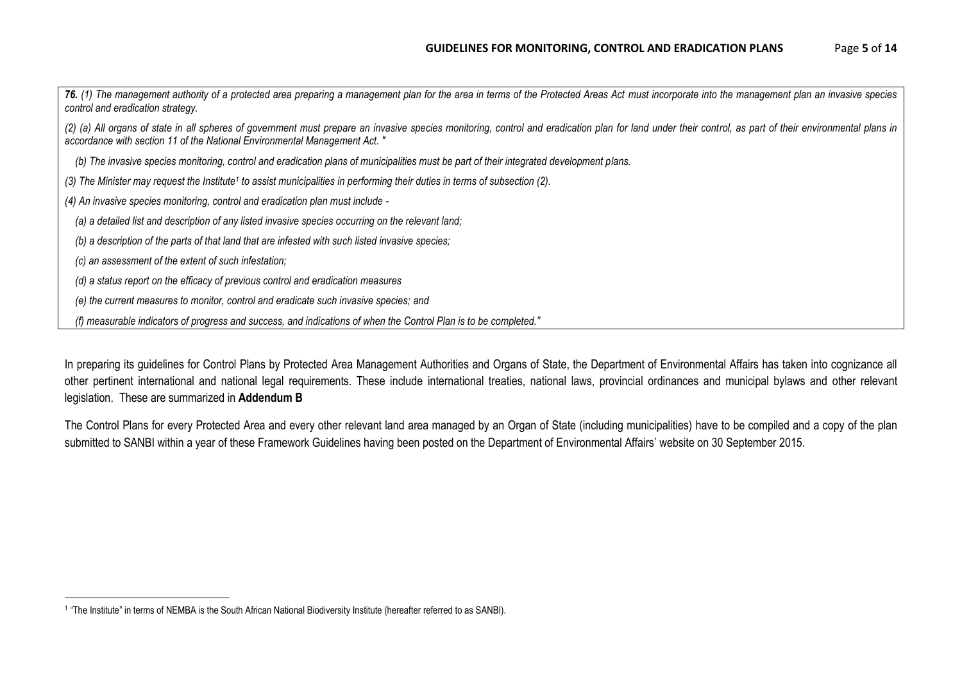*76. (1) The management authority of a protected area preparing a management plan for the area in terms of the Protected Areas Act must incorporate into the management plan an invasive species control and eradication strategy. (2) (a) All organs of state in all spheres of government must prepare an invasive species monitoring, control and eradication plan for land under their control, as part of their environmental plans in accordance with section 11 of the National Environmental Management Act. " (b) The invasive species monitoring, control and eradication plans of municipalities must be part of their integrated development plans. (3) The Minister may request the Institute<sup>1</sup> to assist municipalities in performing their duties in terms of subsection (2). (4) An invasive species monitoring, control and eradication plan must include - (a) a detailed list and description of any listed invasive species occurring on the relevant land; (b) a description of the parts of that land that are infested with such listed invasive species; (c) an assessment of the extent of such infestation; (d) a status report on the efficacy of previous control and eradication measures (e) the current measures to monitor, control and eradicate such invasive species; and (f) measurable indicators of progress and success, and indications of when the Control Plan is to be completed."*

In preparing its guidelines for Control Plans by Protected Area Management Authorities and Organs of State, the Department of Environmental Affairs has taken into cognizance all other pertinent international and national legal requirements. These include international treaties, national laws, provincial ordinances and municipal bylaws and other relevant legislation. These are summarized in **Addendum B**

The Control Plans for every Protected Area and every other relevant land area managed by an Organ of State (including municipalities) have to be compiled and a copy of the plan submitted to SANBI within a year of these Framework Guidelines having been posted on the Department of Environmental Affairs' website on 30 September 2015.

 $\overline{\phantom{a}}$ 

<sup>1</sup> "The Institute" in terms of NEMBA is the South African National Biodiversity Institute (hereafter referred to as SANBI).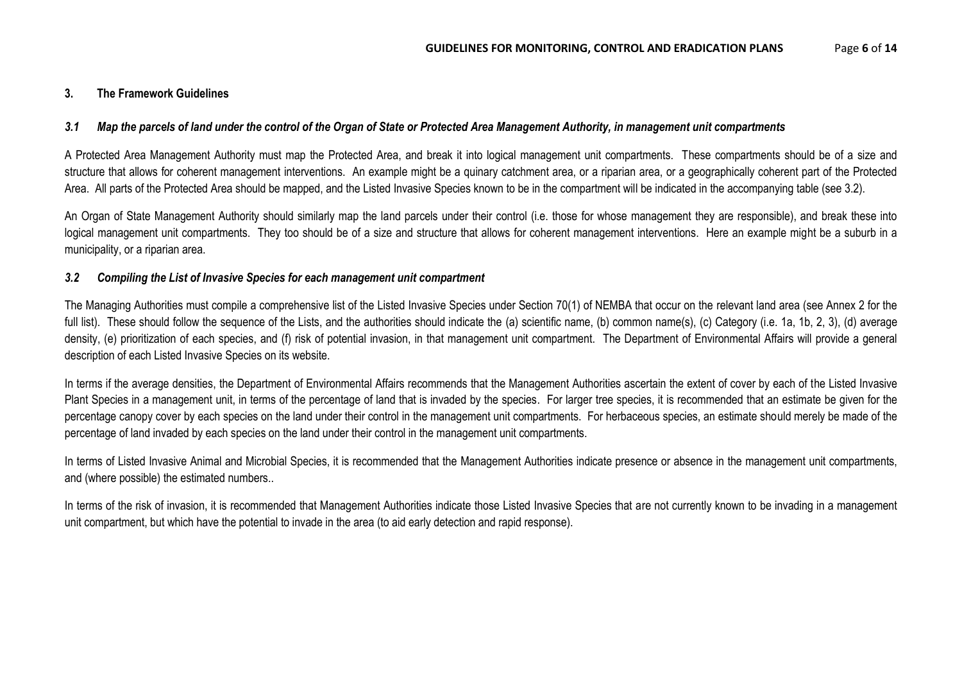#### **3. The Framework Guidelines**

#### *3.1 Map the parcels of land under the control of the Organ of State or Protected Area Management Authority, in management unit compartments*

A Protected Area Management Authority must map the Protected Area, and break it into logical management unit compartments. These compartments should be of a size and structure that allows for coherent management interventions. An example might be a quinary catchment area, or a riparian area, or a geographically coherent part of the Protected Area. All parts of the Protected Area should be mapped, and the Listed Invasive Species known to be in the compartment will be indicated in the accompanying table (see 3.2).

An Organ of State Management Authority should similarly map the land parcels under their control (i.e. those for whose management they are responsible), and break these into logical management unit compartments. They too should be of a size and structure that allows for coherent management interventions. Here an example might be a suburb in a municipality, or a riparian area.

#### *3.2 Compiling the List of Invasive Species for each management unit compartment*

The Managing Authorities must compile a comprehensive list of the Listed Invasive Species under Section 70(1) of NEMBA that occur on the relevant land area (see Annex 2 for the full list). These should follow the sequence of the Lists, and the authorities should indicate the (a) scientific name, (b) common name(s), (c) Category (i.e. 1a, 1b, 2, 3), (d) average density, (e) prioritization of each species, and (f) risk of potential invasion, in that management unit compartment. The Department of Environmental Affairs will provide a general description of each Listed Invasive Species on its website.

In terms if the average densities, the Department of Environmental Affairs recommends that the Management Authorities ascertain the extent of cover by each of the Listed Invasive Plant Species in a management unit, in terms of the percentage of land that is invaded by the species. For larger tree species, it is recommended that an estimate be given for the percentage canopy cover by each species on the land under their control in the management unit compartments. For herbaceous species, an estimate should merely be made of the percentage of land invaded by each species on the land under their control in the management unit compartments.

In terms of Listed Invasive Animal and Microbial Species, it is recommended that the Management Authorities indicate presence or absence in the management unit compartments, and (where possible) the estimated numbers..

In terms of the risk of invasion, it is recommended that Management Authorities indicate those Listed Invasive Species that are not currently known to be invading in a management unit compartment, but which have the potential to invade in the area (to aid early detection and rapid response).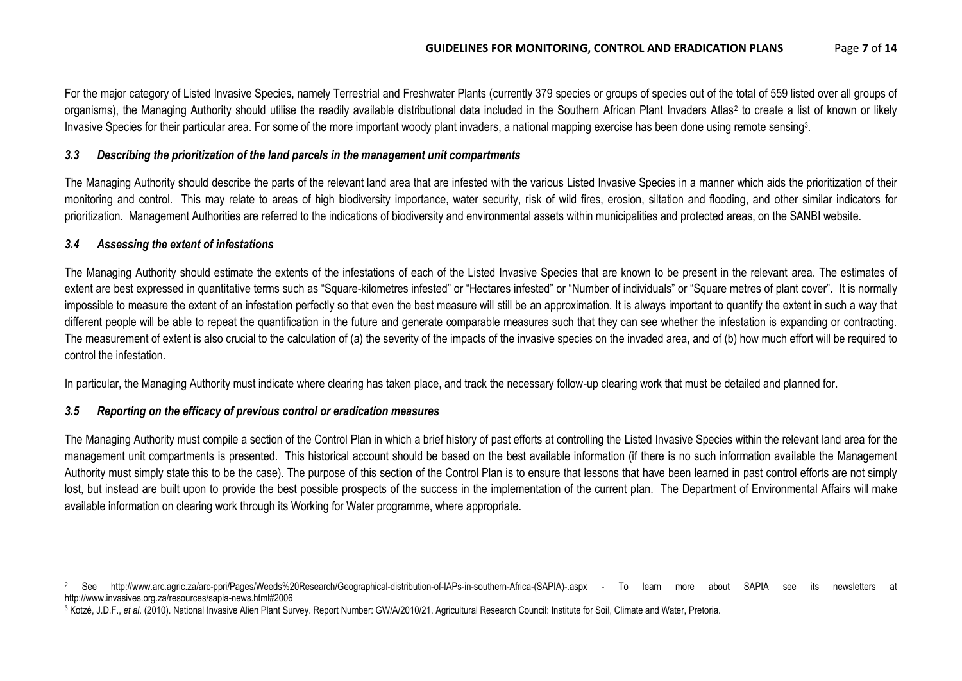For the major category of Listed Invasive Species, namely Terrestrial and Freshwater Plants (currently 379 species or groups of species out of the total of 559 listed over all groups of organisms), the Managing Authority should utilise the readily available distributional data included in the Southern African Plant Invaders Atlas<sup>2</sup> to create a list of known or likely Invasive Species for their particular area. For some of the more important woody plant invaders, a national mapping exercise has been done using remote sensing<sup>3</sup>.

#### *3.3 Describing the prioritization of the land parcels in the management unit compartments*

The Managing Authority should describe the parts of the relevant land area that are infested with the various Listed Invasive Species in a manner which aids the prioritization of their monitoring and control. This may relate to areas of high biodiversity importance, water security, risk of wild fires, erosion, siltation and flooding, and other similar indicators for prioritization. Management Authorities are referred to the indications of biodiversity and environmental assets within municipalities and protected areas, on the SANBI website.

#### *3.4 Assessing the extent of infestations*

The Managing Authority should estimate the extents of the infestations of each of the Listed Invasive Species that are known to be present in the relevant area. The estimates of extent are best expressed in quantitative terms such as "Square-kilometres infested" or "Hectares infested" or "Number of individuals" or "Square metres of plant cover". It is normally impossible to measure the extent of an infestation perfectly so that even the best measure will still be an approximation. It is always important to quantify the extent in such a way that different people will be able to repeat the quantification in the future and generate comparable measures such that they can see whether the infestation is expanding or contracting. The measurement of extent is also crucial to the calculation of (a) the severity of the impacts of the invasive species on the invaded area, and of (b) how much effort will be required to control the infestation.

In particular, the Managing Authority must indicate where clearing has taken place, and track the necessary follow-up clearing work that must be detailed and planned for.

#### *3.5 Reporting on the efficacy of previous control or eradication measures*

The Managing Authority must compile a section of the Control Plan in which a brief history of past efforts at controlling the Listed Invasive Species within the relevant land area for the management unit compartments is presented. This historical account should be based on the best available information (if there is no such information available the Management Authority must simply state this to be the case). The purpose of this section of the Control Plan is to ensure that lessons that have been learned in past control efforts are not simply lost, but instead are built upon to provide the best possible prospects of the success in the implementation of the current plan. The Department of Environmental Affairs will make available information on clearing work through its Working for Water programme, where appropriate.

 $\overline{\phantom{a}}$ <sup>2</sup> See http://www.arc.agric.za/arc-ppri/Pages/Weeds%20Research/Geographical-distribution-of-IAPs-in-southern-Africa-(SAPIA)-.aspx - To learn more about SAPIA see its newsletters at http://www.invasives.org.za/resources/sapia-news.html#2006

<sup>&</sup>lt;sup>3</sup> Kotzé, J.D.F., et al. (2010). National Invasive Alien Plant Survey. Report Number: GW/A/2010/21. Agricultural Research Council: Institute for Soil, Climate and Water, Pretoria.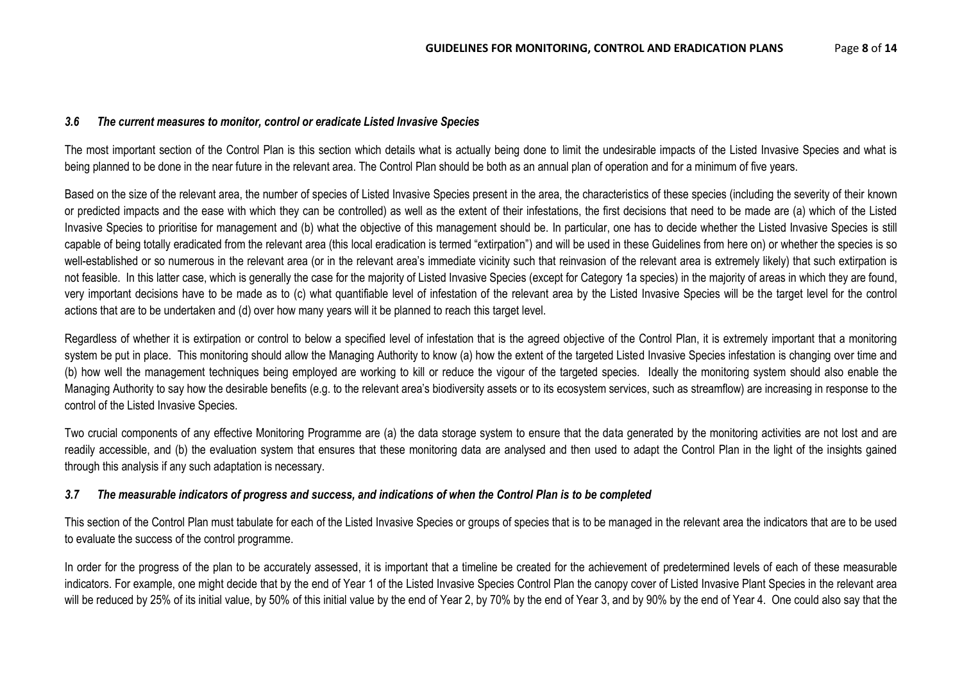#### *3.6 The current measures to monitor, control or eradicate Listed Invasive Species*

The most important section of the Control Plan is this section which details what is actually being done to limit the undesirable impacts of the Listed Invasive Species and what is being planned to be done in the near future in the relevant area. The Control Plan should be both as an annual plan of operation and for a minimum of five years.

Based on the size of the relevant area, the number of species of Listed Invasive Species present in the area, the characteristics of these species (including the severity of their known or predicted impacts and the ease with which they can be controlled) as well as the extent of their infestations, the first decisions that need to be made are (a) which of the Listed Invasive Species to prioritise for management and (b) what the objective of this management should be. In particular, one has to decide whether the Listed Invasive Species is still capable of being totally eradicated from the relevant area (this local eradication is termed "extirpation") and will be used in these Guidelines from here on) or whether the species is so well-established or so numerous in the relevant area (or in the relevant area's immediate vicinity such that reinvasion of the relevant area is extremely likely) that such extirpation is not feasible. In this latter case, which is generally the case for the majority of Listed Invasive Species (except for Category 1a species) in the majority of areas in which they are found, very important decisions have to be made as to (c) what quantifiable level of infestation of the relevant area by the Listed Invasive Species will be the target level for the control actions that are to be undertaken and (d) over how many years will it be planned to reach this target level.

Regardless of whether it is extirpation or control to below a specified level of infestation that is the agreed objective of the Control Plan, it is extremely important that a monitoring system be put in place. This monitoring should allow the Managing Authority to know (a) how the extent of the targeted Listed Invasive Species infestation is changing over time and (b) how well the management techniques being employed are working to kill or reduce the vigour of the targeted species. Ideally the monitoring system should also enable the Managing Authority to say how the desirable benefits (e.g. to the relevant area's biodiversity assets or to its ecosystem services, such as streamflow) are increasing in response to the control of the Listed Invasive Species.

Two crucial components of any effective Monitoring Programme are (a) the data storage system to ensure that the data generated by the monitoring activities are not lost and are readily accessible, and (b) the evaluation system that ensures that these monitoring data are analysed and then used to adapt the Control Plan in the light of the insights gained through this analysis if any such adaptation is necessary.

#### *3.7 The measurable indicators of progress and success, and indications of when the Control Plan is to be completed*

This section of the Control Plan must tabulate for each of the Listed Invasive Species or groups of species that is to be managed in the relevant area the indicators that are to be used to evaluate the success of the control programme.

In order for the progress of the plan to be accurately assessed, it is important that a timeline be created for the achievement of predetermined levels of each of these measurable indicators. For example, one might decide that by the end of Year 1 of the Listed Invasive Species Control Plan the canopy cover of Listed Invasive Plant Species in the relevant area will be reduced by 25% of its initial value, by 50% of this initial value by the end of Year 2, by 70% by the end of Year 3, and by 90% by the end of Year 4. One could also say that the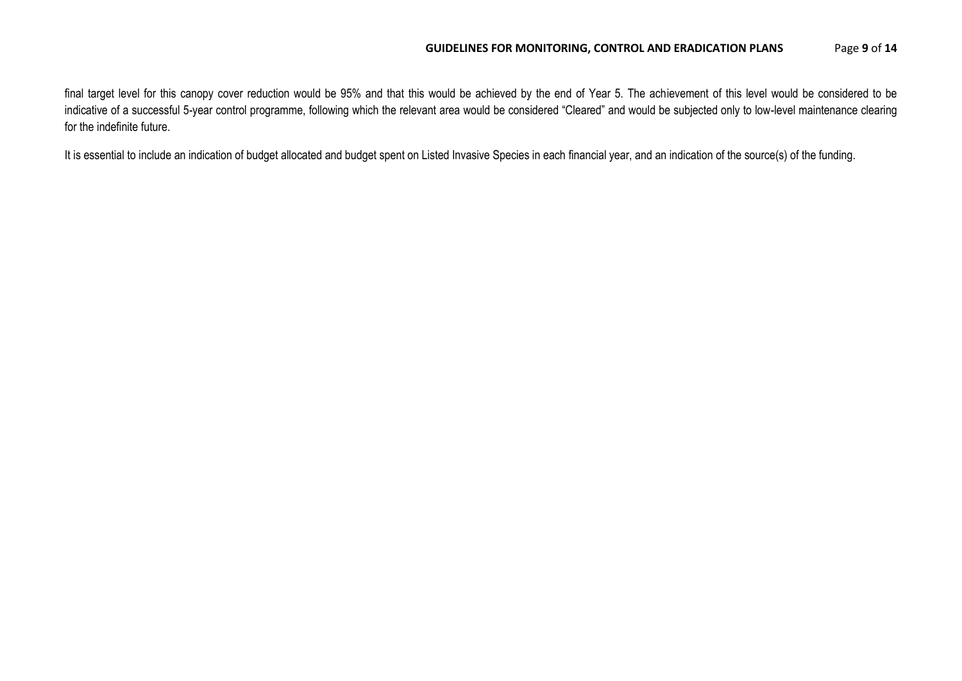final target level for this canopy cover reduction would be 95% and that this would be achieved by the end of Year 5. The achievement of this level would be considered to be indicative of a successful 5-year control programme, following which the relevant area would be considered "Cleared" and would be subjected only to low-level maintenance clearing for the indefinite future.

It is essential to include an indication of budget allocated and budget spent on Listed Invasive Species in each financial year, and an indication of the source(s) of the funding.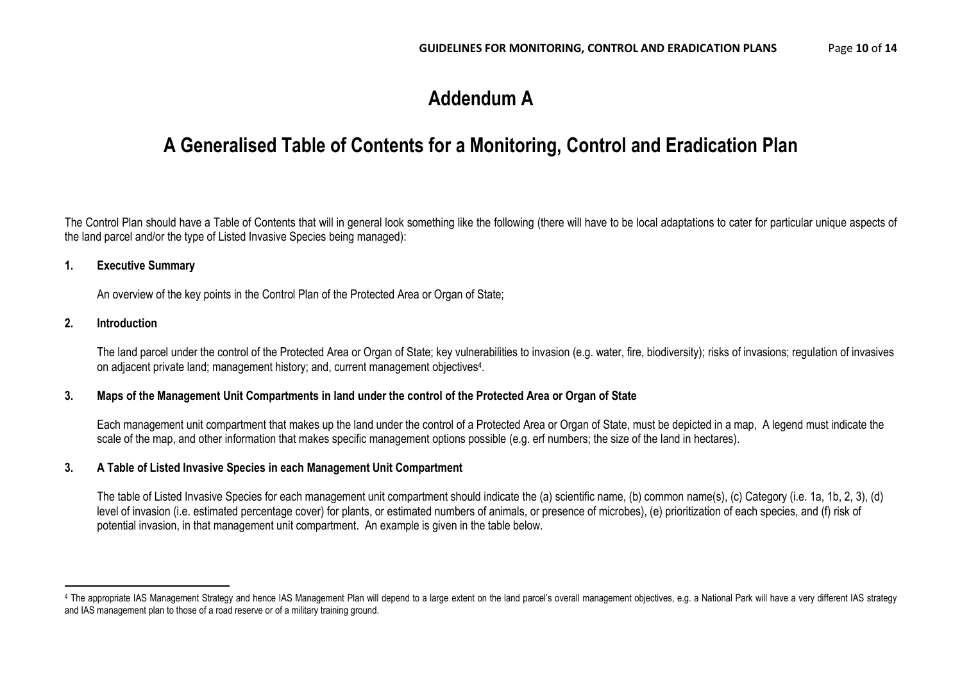## **Addendum A**

### **A Generalised Table of Contents for a Monitoring, Control and Eradication Plan**

The Control Plan should have a Table of Contents that will in general look something like the following (there will have to be local adaptations to cater for particular unique aspects of the land parcel and/or the type of Listed Invasive Species being managed):

#### **1. Executive Summary**

An overview of the key points in the Control Plan of the Protected Area or Organ of State;

#### **2. Introduction**

 $\overline{a}$ 

The land parcel under the control of the Protected Area or Organ of State; key vulnerabilities to invasion (e.g. water, fire, biodiversity); risks of invasions; regulation of invasives on adjacent private land; management history; and, current management objectives<sup>4</sup>.

#### **3. Maps of the Management Unit Compartments in land under the control of the Protected Area or Organ of State**

Each management unit compartment that makes up the land under the control of a Protected Area or Organ of State, must be depicted in a map, A legend must indicate the scale of the map, and other information that makes specific management options possible (e.g. erf numbers; the size of the land in hectares).

#### **3. A Table of Listed Invasive Species in each Management Unit Compartment**

The table of Listed Invasive Species for each management unit compartment should indicate the (a) scientific name, (b) common name(s), (c) Category (i.e. 1a, 1b, 2, 3), (d) level of invasion (i.e. estimated percentage cover) for plants, or estimated numbers of animals, or presence of microbes), (e) prioritization of each species, and (f) risk of potential invasion, in that management unit compartment. An example is given in the table below.

<sup>4</sup> The appropriate IAS Management Strategy and hence IAS Management Plan will depend to a large extent on the land parcel's overall management objectives, e.g. a National Park will have a very different IAS strategy and IAS management plan to those of a road reserve or of a military training ground.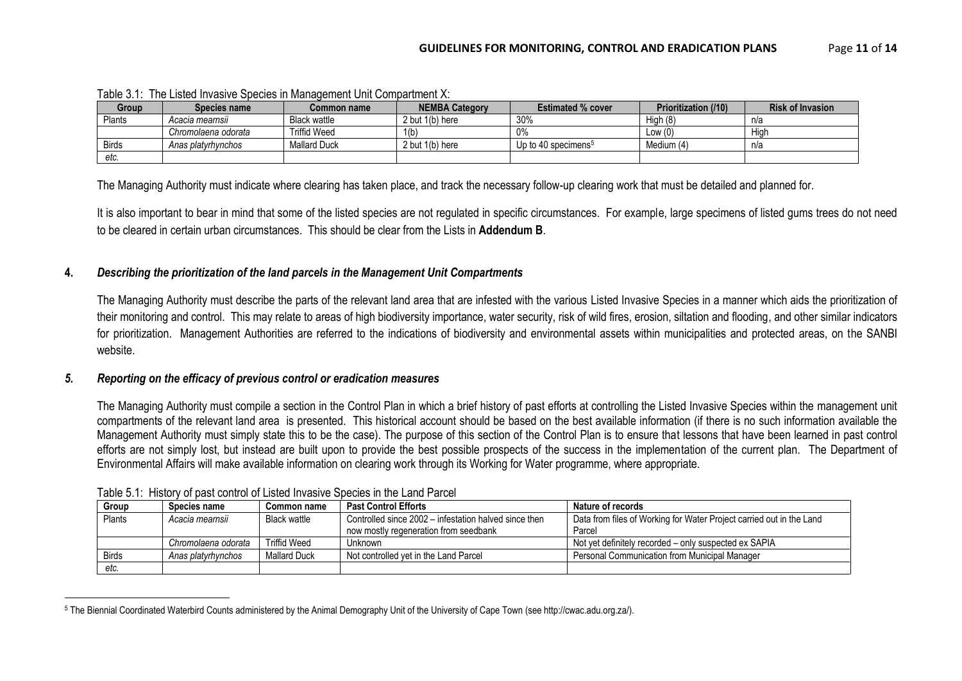| Group        | Species name        | Common name         | <b>NEMBA Category</b> | <b>Estimated % cover</b>        | <b>Prioritization (/10)</b> | <b>Risk of Invasion</b> |
|--------------|---------------------|---------------------|-----------------------|---------------------------------|-----------------------------|-------------------------|
| Plants       | Acacia mearnsii     | <b>Black wattle</b> | 2 but 1(b) here       | 30%                             | High (8)                    | n/a                     |
|              | Chromolaena odorata | <b>Triffid Weed</b> | 1(b)                  | 0%                              | Low $(0)$                   | High                    |
| <b>Birds</b> | Anas platyrhynchos  | <b>Mallard Duck</b> | 2 but 1(b) here       | Up to 40 specimens <sup>5</sup> | Medium (4)                  | n/a                     |
| etc.         |                     |                     |                       |                                 |                             |                         |

Table 3.1: The Listed Invasive Species in Management Unit Compartment X:

The Managing Authority must indicate where clearing has taken place, and track the necessary follow-up clearing work that must be detailed and planned for.

It is also important to bear in mind that some of the listed species are not regulated in specific circumstances. For example, large specimens of listed gums trees do not need to be cleared in certain urban circumstances. This should be clear from the Lists in **Addendum B**.

#### **4.** *Describing the prioritization of the land parcels in the Management Unit Compartments*

The Managing Authority must describe the parts of the relevant land area that are infested with the various Listed Invasive Species in a manner which aids the prioritization of their monitoring and control. This may relate to areas of high biodiversity importance, water security, risk of wild fires, erosion, siltation and flooding, and other similar indicators for prioritization. Management Authorities are referred to the indications of biodiversity and environmental assets within municipalities and protected areas, on the SANBI website.

#### *5. Reporting on the efficacy of previous control or eradication measures*

 $\overline{\phantom{a}}$ 

The Managing Authority must compile a section in the Control Plan in which a brief history of past efforts at controlling the Listed Invasive Species within the management unit compartments of the relevant land area is presented. This historical account should be based on the best available information (if there is no such information available the Management Authority must simply state this to be the case). The purpose of this section of the Control Plan is to ensure that lessons that have been learned in past control efforts are not simply lost, but instead are built upon to provide the best possible prospects of the success in the implementation of the current plan. The Department of Environmental Affairs will make available information on clearing work through its Working for Water programme, where appropriate.

| Group        | <b>Species name</b> | Common name         | <b>Past Control Efforts</b>                           | Nature of records                                                    |
|--------------|---------------------|---------------------|-------------------------------------------------------|----------------------------------------------------------------------|
| Plants       | Acacia mearnsii     | Black wattle        | Controlled since 2002 – infestation halved since then | Data from files of Working for Water Project carried out in the Land |
|              |                     |                     | now mostly regeneration from seedbank                 | Parcel                                                               |
|              | Chromolaena odorata | <b>Triffid Weed</b> | Unknown                                               | Not yet definitely recorded – only suspected ex SAPIA                |
| <b>Birds</b> | Anas platyrhynchos  | <b>Mallard Duck</b> | Not controlled vet in the Land Parcel                 | Personal Communication from Municipal Manager                        |
| etc.         |                     |                     |                                                       |                                                                      |

Table 5.1: History of past control of Listed Invasive Species in the Land Parcel

<sup>5</sup> The Biennial Coordinated Waterbird Counts administered by the Animal Demography Unit of the University of Cape Town (see http://cwac.adu.org.za/).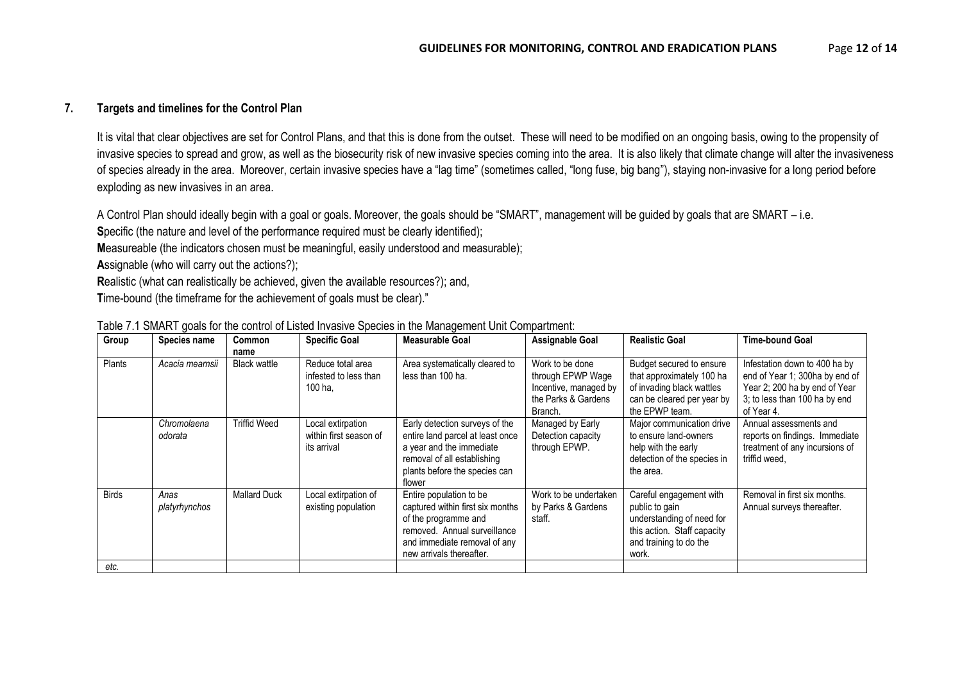#### **7. Targets and timelines for the Control Plan**

It is vital that clear objectives are set for Control Plans, and that this is done from the outset. These will need to be modified on an ongoing basis, owing to the propensity of invasive species to spread and grow, as well as the biosecurity risk of new invasive species coming into the area. It is also likely that climate change will alter the invasiveness of species already in the area. Moreover, certain invasive species have a "lag time" (sometimes called, "long fuse, big bang"), staying non-invasive for a long period before exploding as new invasives in an area.

A Control Plan should ideally begin with a goal or goals. Moreover, the goals should be "SMART", management will be guided by goals that are SMART – i.e.

**Specific (the nature and level of the performance required must be clearly identified);** 

**M**easureable (the indicators chosen must be meaningful, easily understood and measurable);

**A**ssignable (who will carry out the actions?);

**R**ealistic (what can realistically be achieved, given the available resources?); and,

**T**ime-bound (the timeframe for the achievement of goals must be clear)."

| Group         | Species name           | Common<br>name      | <b>Specific Goal</b>                                       | <b>Measurable Goal</b>                                                                                                                                                          | <b>Assignable Goal</b>                                                                          | <b>Realistic Goal</b>                                                                                                                    | <b>Time-bound Goal</b>                                                                                                                          |
|---------------|------------------------|---------------------|------------------------------------------------------------|---------------------------------------------------------------------------------------------------------------------------------------------------------------------------------|-------------------------------------------------------------------------------------------------|------------------------------------------------------------------------------------------------------------------------------------------|-------------------------------------------------------------------------------------------------------------------------------------------------|
| <b>Plants</b> | Acacia mearnsii        | <b>Black wattle</b> | Reduce total area<br>infested to less than<br>100 ha.      | Area systematically cleared to<br>less than 100 ha.                                                                                                                             | Work to be done<br>through EPWP Wage<br>Incentive, managed by<br>the Parks & Gardens<br>Branch. | Budget secured to ensure<br>that approximately 100 ha<br>of invading black wattles<br>can be cleared per year by<br>the EPWP team.       | Infestation down to 400 ha by<br>end of Year 1; 300ha by end of<br>Year 2; 200 ha by end of Year<br>3; to less than 100 ha by end<br>of Year 4. |
|               | Chromolaena<br>odorata | Triffid Weed        | Local extirpation<br>within first season of<br>its arrival | Early detection surveys of the<br>entire land parcel at least once<br>a year and the immediate<br>removal of all establishing<br>plants before the species can<br>flower        | Managed by Early<br>Detection capacity<br>through EPWP.                                         | Major communication drive<br>to ensure land-owners<br>help with the early<br>detection of the species in<br>the area.                    | Annual assessments and<br>reports on findings. Immediate<br>treatment of any incursions of<br>triffid weed,                                     |
| <b>Birds</b>  | Anas<br>platyrhynchos  | <b>Mallard Duck</b> | Local extirpation of<br>existing population                | Entire population to be<br>captured within first six months<br>of the programme and<br>removed. Annual surveillance<br>and immediate removal of any<br>new arrivals thereafter. | Work to be undertaken<br>by Parks & Gardens<br>staff.                                           | Careful engagement with<br>public to gain<br>understanding of need for<br>this action. Staff capacity<br>and training to do the<br>work. | Removal in first six months.<br>Annual surveys thereafter.                                                                                      |
| etc.          |                        |                     |                                                            |                                                                                                                                                                                 |                                                                                                 |                                                                                                                                          |                                                                                                                                                 |

|  |  | Table 7.1 SMART goals for the control of Listed Invasive Species in the Management Unit Compartment: |
|--|--|------------------------------------------------------------------------------------------------------|
|  |  |                                                                                                      |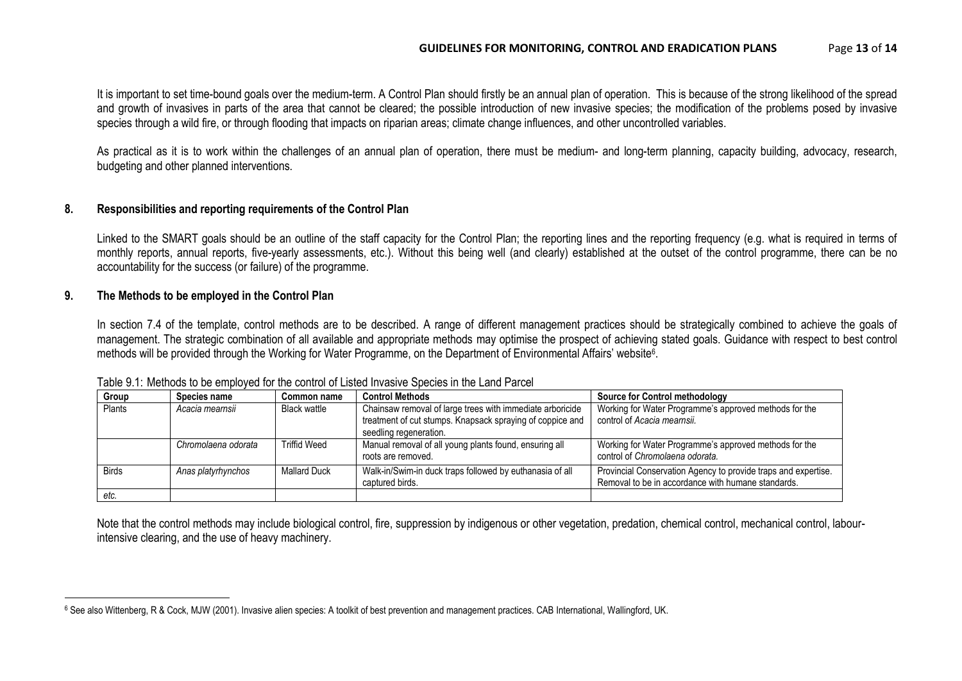It is important to set time-bound goals over the medium-term. A Control Plan should firstly be an annual plan of operation. This is because of the strong likelihood of the spread and growth of invasives in parts of the area that cannot be cleared; the possible introduction of new invasive species; the modification of the problems posed by invasive species through a wild fire, or through flooding that impacts on riparian areas; climate change influences, and other uncontrolled variables.

As practical as it is to work within the challenges of an annual plan of operation, there must be medium- and long-term planning, capacity building, advocacy, research, budgeting and other planned interventions.

#### **8. Responsibilities and reporting requirements of the Control Plan**

Linked to the SMART goals should be an outline of the staff capacity for the Control Plan; the reporting lines and the reporting frequency (e.g. what is required in terms of monthly reports, annual reports, five-yearly assessments, etc.). Without this being well (and clearly) established at the outset of the control programme, there can be no accountability for the success (or failure) of the programme.

#### **9. The Methods to be employed in the Control Plan**

 $\overline{\phantom{a}}$ 

In section 7.4 of the template, control methods are to be described. A range of different management practices should be strategically combined to achieve the goals of management. The strategic combination of all available and appropriate methods may optimise the prospect of achieving stated goals. Guidance with respect to best control methods will be provided through the Working for Water Programme, on the Department of Environmental Affairs' website<sup>6</sup>.

| Group        | Species name        | <b>Common name</b>  | <b>Control Methods</b>                                                                                                                           | <b>Source for Control methodology</b>                                                                                |  |  |
|--------------|---------------------|---------------------|--------------------------------------------------------------------------------------------------------------------------------------------------|----------------------------------------------------------------------------------------------------------------------|--|--|
| Plants       | Acacia mearnsii     | <b>Black wattle</b> | Chainsaw removal of large trees with immediate arboricide<br>treatment of cut stumps. Knapsack spraying of coppice and<br>seedling regeneration. | Working for Water Programme's approved methods for the<br>control of Acacia mearnsii.                                |  |  |
|              | Chromolaena odorata | <b>Triffid Weed</b> | Manual removal of all young plants found, ensuring all<br>roots are removed.                                                                     | Working for Water Programme's approved methods for the<br>control of Chromolaena odorata.                            |  |  |
| <b>Birds</b> | Anas platyrhynchos  | <b>Mallard Duck</b> | Walk-in/Swim-in duck traps followed by euthanasia of all<br>captured birds.                                                                      | Provincial Conservation Agency to provide traps and expertise.<br>Removal to be in accordance with humane standards. |  |  |
| etc.         |                     |                     |                                                                                                                                                  |                                                                                                                      |  |  |

Table 9.1: Methods to be employed for the control of Listed Invasive Species in the Land Parcel

Note that the control methods may include biological control, fire, suppression by indigenous or other vegetation, predation, chemical control, mechanical control, labourintensive clearing, and the use of heavy machinery.

<sup>6</sup> See also Wittenberg, R & Cock, MJW (2001). Invasive alien species: A toolkit of best prevention and management practices. CAB International, Wallingford, UK.